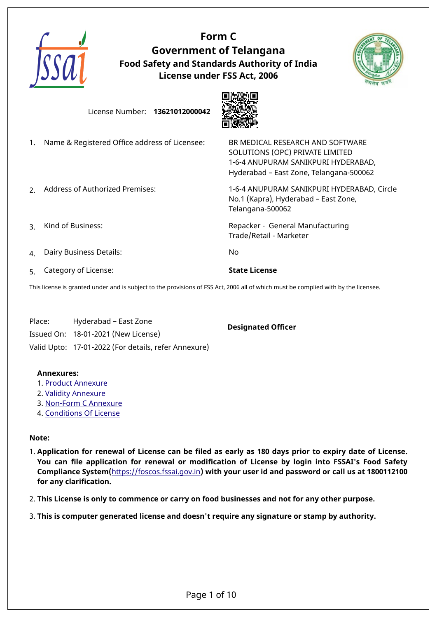

**Form C Government of Telangana Food Safety and Standards Authority of India License under FSS Act, 2006**



License Number: **13621012000042**



1. Name & Registered Office address of Licensee: BR MEDICAL RESEARCH AND SOFTWARE SOLUTIONS (OPC) PRIVATE LIMITED 1-6-4 ANUPURAM SANIKPURI HYDERABAD, Hyderabad – East Zone, Telangana-500062 2. Address of Authorized Premises: 1-6-4 ANUPURAM SANIKPURI HYDERABAD, Circle No.1 (Kapra), Hyderabad – East Zone, Telangana-500062 3. Kind of Business: Repacker - General Manufacturing Trade/Retail - Marketer 4. Dairy Business Details: No 5. Category of License: **State License**

This license is granted under and is subject to the provisions of FSS Act, 2006 all of which must be complied with by the licensee.

Place: Hyderabad – East Zone Issued On: 18-01-2021 (New License) Valid Upto: 17-01-2022 (For details, refer Annexure) **Designated Officer**

#### **Annexures:**

- 1. [Product Annexure](#page-1-0)
- 2. [Validity Annexure](#page-6-0)
- 3. [Non-Form C Annexure](#page-7-0)
- 4. [Conditions Of License](#page-8-0)

#### **Note:**

1. **Application for renewal of License can be filed as early as 180 days prior to expiry date of License. You can file application for renewal or modification of License by login into FSSAI's Food Safety Compliance System(**<https://foscos.fssai.gov.in>**) with your user id and password or call us at 1800112100 for any clarification.**

2. **This License is only to commence or carry on food businesses and not for any other purpose.**

3. **This is computer generated license and doesn't require any signature or stamp by authority.**

#### Page 1 of 10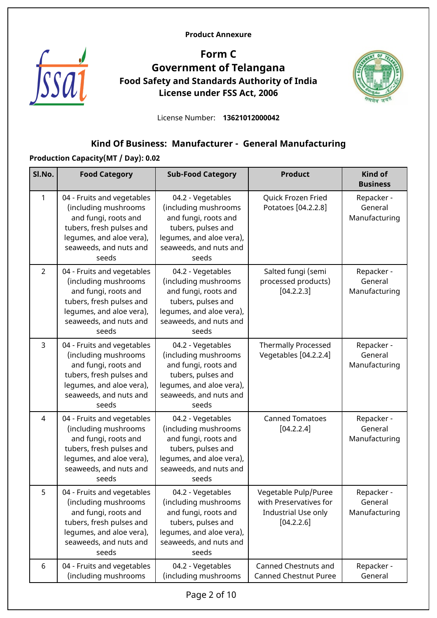#### <span id="page-1-0"></span>**Product Annexure**



**Form C Government of Telangana Food Safety and Standards Authority of India License under FSS Act, 2006**



License Number: **13621012000042**

## **Kind Of Business: Manufacturer - General Manufacturing**

### **Production Capacity(MT / Day): 0.02**

| Sl.No.         | <b>Food Category</b>                                                                                                                                                  | <b>Sub-Food Category</b>                                                                                                                               | <b>Product</b>                                                                      | <b>Kind of</b><br><b>Business</b>      |
|----------------|-----------------------------------------------------------------------------------------------------------------------------------------------------------------------|--------------------------------------------------------------------------------------------------------------------------------------------------------|-------------------------------------------------------------------------------------|----------------------------------------|
| $\mathbf{1}$   | 04 - Fruits and vegetables<br>(including mushrooms<br>and fungi, roots and<br>tubers, fresh pulses and<br>legumes, and aloe vera),<br>seaweeds, and nuts and<br>seeds | 04.2 - Vegetables<br>(including mushrooms<br>and fungi, roots and<br>tubers, pulses and<br>legumes, and aloe vera),<br>seaweeds, and nuts and<br>seeds | Quick Frozen Fried<br>Potatoes [04.2.2.8]                                           | Repacker -<br>General<br>Manufacturing |
| $\overline{2}$ | 04 - Fruits and vegetables<br>(including mushrooms<br>and fungi, roots and<br>tubers, fresh pulses and<br>legumes, and aloe vera),<br>seaweeds, and nuts and<br>seeds | 04.2 - Vegetables<br>(including mushrooms<br>and fungi, roots and<br>tubers, pulses and<br>legumes, and aloe vera),<br>seaweeds, and nuts and<br>seeds | Salted fungi (semi<br>processed products)<br>[04.2.2.3]                             | Repacker -<br>General<br>Manufacturing |
| 3              | 04 - Fruits and vegetables<br>(including mushrooms<br>and fungi, roots and<br>tubers, fresh pulses and<br>legumes, and aloe vera),<br>seaweeds, and nuts and<br>seeds | 04.2 - Vegetables<br>(including mushrooms<br>and fungi, roots and<br>tubers, pulses and<br>legumes, and aloe vera),<br>seaweeds, and nuts and<br>seeds | <b>Thermally Processed</b><br>Vegetables [04.2.2.4]                                 | Repacker -<br>General<br>Manufacturing |
| 4              | 04 - Fruits and vegetables<br>(including mushrooms<br>and fungi, roots and<br>tubers, fresh pulses and<br>legumes, and aloe vera),<br>seaweeds, and nuts and<br>seeds | 04.2 - Vegetables<br>(including mushrooms<br>and fungi, roots and<br>tubers, pulses and<br>legumes, and aloe vera),<br>seaweeds, and nuts and<br>seeds | <b>Canned Tomatoes</b><br>[04.2.2.4]                                                | Repacker -<br>General<br>Manufacturing |
| 5              | 04 - Fruits and vegetables<br>(including mushrooms<br>and fungi, roots and<br>tubers, fresh pulses and<br>legumes, and aloe vera),<br>seaweeds, and nuts and<br>seeds | 04.2 - Vegetables<br>(including mushrooms<br>and fungi, roots and<br>tubers, pulses and<br>legumes, and aloe vera),<br>seaweeds, and nuts and<br>seeds | Vegetable Pulp/Puree<br>with Preservatives for<br>Industrial Use only<br>[04.2.2.6] | Repacker -<br>General<br>Manufacturing |
| 6              | 04 - Fruits and vegetables<br>(including mushrooms                                                                                                                    | 04.2 - Vegetables<br>(including mushrooms                                                                                                              | <b>Canned Chestnuts and</b><br><b>Canned Chestnut Puree</b>                         | Repacker -<br>General                  |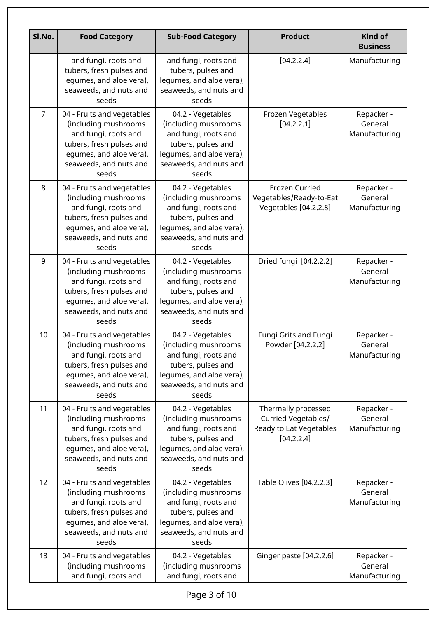| Sl.No.          | <b>Food Category</b>                                                                                                                                                  | <b>Sub-Food Category</b>                                                                                                                               | <b>Product</b>                                                                      | <b>Kind of</b><br><b>Business</b>      |
|-----------------|-----------------------------------------------------------------------------------------------------------------------------------------------------------------------|--------------------------------------------------------------------------------------------------------------------------------------------------------|-------------------------------------------------------------------------------------|----------------------------------------|
|                 | and fungi, roots and<br>tubers, fresh pulses and<br>legumes, and aloe vera),<br>seaweeds, and nuts and<br>seeds                                                       | and fungi, roots and<br>tubers, pulses and<br>legumes, and aloe vera),<br>seaweeds, and nuts and<br>seeds                                              | [04.2.2.4]                                                                          | Manufacturing                          |
| $\overline{7}$  | 04 - Fruits and vegetables<br>(including mushrooms<br>and fungi, roots and<br>tubers, fresh pulses and<br>legumes, and aloe vera),<br>seaweeds, and nuts and<br>seeds | 04.2 - Vegetables<br>(including mushrooms<br>and fungi, roots and<br>tubers, pulses and<br>legumes, and aloe vera),<br>seaweeds, and nuts and<br>seeds | Frozen Vegetables<br>[04.2.2.1]                                                     | Repacker -<br>General<br>Manufacturing |
| 8               | 04 - Fruits and vegetables<br>(including mushrooms<br>and fungi, roots and<br>tubers, fresh pulses and<br>legumes, and aloe vera),<br>seaweeds, and nuts and<br>seeds | 04.2 - Vegetables<br>(including mushrooms<br>and fungi, roots and<br>tubers, pulses and<br>legumes, and aloe vera),<br>seaweeds, and nuts and<br>seeds | <b>Frozen Curried</b><br>Vegetables/Ready-to-Eat<br>Vegetables [04.2.2.8]           | Repacker -<br>General<br>Manufacturing |
| 9               | 04 - Fruits and vegetables<br>(including mushrooms<br>and fungi, roots and<br>tubers, fresh pulses and<br>legumes, and aloe vera),<br>seaweeds, and nuts and<br>seeds | 04.2 - Vegetables<br>(including mushrooms<br>and fungi, roots and<br>tubers, pulses and<br>legumes, and aloe vera),<br>seaweeds, and nuts and<br>seeds | Dried fungi [04.2.2.2]                                                              | Repacker -<br>General<br>Manufacturing |
| 10 <sup>1</sup> | 04 - Fruits and vegetables<br>(including mushrooms<br>and fungi, roots and<br>tubers, fresh pulses and<br>lequmes, and aloe vera),<br>seaweeds, and nuts and<br>seeds | 04.2 - Vegetables<br>(including mushrooms<br>and fungi, roots and<br>tubers, pulses and<br>legumes, and aloe vera),<br>seaweeds, and nuts and<br>seeds | Fungi Grits and Fungi<br>Powder [04.2.2.2]                                          | Repacker -<br>General<br>Manufacturing |
| 11              | 04 - Fruits and vegetables<br>(including mushrooms<br>and fungi, roots and<br>tubers, fresh pulses and<br>legumes, and aloe vera),<br>seaweeds, and nuts and<br>seeds | 04.2 - Vegetables<br>(including mushrooms<br>and fungi, roots and<br>tubers, pulses and<br>lequmes, and aloe vera),<br>seaweeds, and nuts and<br>seeds | Thermally processed<br>Curried Vegetables/<br>Ready to Eat Vegetables<br>[04.2.2.4] | Repacker -<br>General<br>Manufacturing |
| 12              | 04 - Fruits and vegetables<br>(including mushrooms<br>and fungi, roots and<br>tubers, fresh pulses and<br>legumes, and aloe vera),<br>seaweeds, and nuts and<br>seeds | 04.2 - Vegetables<br>(including mushrooms<br>and fungi, roots and<br>tubers, pulses and<br>legumes, and aloe vera),<br>seaweeds, and nuts and<br>seeds | Table Olives [04.2.2.3]                                                             | Repacker -<br>General<br>Manufacturing |
| 13              | 04 - Fruits and vegetables<br>(including mushrooms<br>and fungi, roots and                                                                                            | 04.2 - Vegetables<br>(including mushrooms<br>and fungi, roots and                                                                                      | Ginger paste [04.2.2.6]                                                             | Repacker -<br>General<br>Manufacturing |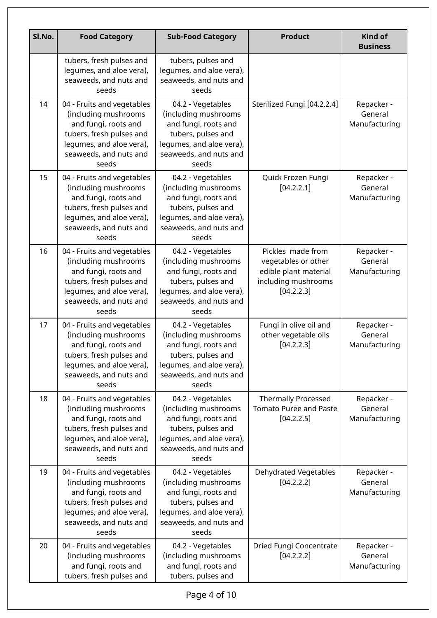| Sl.No. | <b>Food Category</b>                                                                                                                                                  | <b>Sub-Food Category</b>                                                                                                                               | <b>Product</b>                                                                                         | <b>Kind of</b><br><b>Business</b>      |
|--------|-----------------------------------------------------------------------------------------------------------------------------------------------------------------------|--------------------------------------------------------------------------------------------------------------------------------------------------------|--------------------------------------------------------------------------------------------------------|----------------------------------------|
|        | tubers, fresh pulses and<br>legumes, and aloe vera),<br>seaweeds, and nuts and<br>seeds                                                                               | tubers, pulses and<br>legumes, and aloe vera),<br>seaweeds, and nuts and<br>seeds                                                                      |                                                                                                        |                                        |
| 14     | 04 - Fruits and vegetables<br>(including mushrooms<br>and fungi, roots and<br>tubers, fresh pulses and<br>legumes, and aloe vera),<br>seaweeds, and nuts and<br>seeds | 04.2 - Vegetables<br>(including mushrooms<br>and fungi, roots and<br>tubers, pulses and<br>legumes, and aloe vera),<br>seaweeds, and nuts and<br>seeds | Sterilized Fungi [04.2.2.4]                                                                            | Repacker -<br>General<br>Manufacturing |
| 15     | 04 - Fruits and vegetables<br>(including mushrooms<br>and fungi, roots and<br>tubers, fresh pulses and<br>legumes, and aloe vera),<br>seaweeds, and nuts and<br>seeds | 04.2 - Vegetables<br>(including mushrooms<br>and fungi, roots and<br>tubers, pulses and<br>legumes, and aloe vera),<br>seaweeds, and nuts and<br>seeds | Quick Frozen Fungi<br>[04.2.2.1]                                                                       | Repacker -<br>General<br>Manufacturing |
| 16     | 04 - Fruits and vegetables<br>(including mushrooms<br>and fungi, roots and<br>tubers, fresh pulses and<br>legumes, and aloe vera),<br>seaweeds, and nuts and<br>seeds | 04.2 - Vegetables<br>(including mushrooms<br>and fungi, roots and<br>tubers, pulses and<br>legumes, and aloe vera),<br>seaweeds, and nuts and<br>seeds | Pickles made from<br>vegetables or other<br>edible plant material<br>including mushrooms<br>[04.2.2.3] | Repacker -<br>General<br>Manufacturing |
| 17     | 04 - Fruits and vegetables<br>(including mushrooms<br>and fungi, roots and<br>tubers, fresh pulses and<br>legumes, and aloe vera),<br>seaweeds, and nuts and<br>seeds | 04.2 - Vegetables<br>(including mushrooms<br>and fungi, roots and<br>tubers, pulses and<br>legumes, and aloe vera),<br>seaweeds, and nuts and<br>seeds | Fungi in olive oil and<br>other vegetable oils<br>[04.2.2.3]                                           | Repacker -<br>General<br>Manufacturing |
| 18     | 04 - Fruits and vegetables<br>(including mushrooms<br>and fungi, roots and<br>tubers, fresh pulses and<br>legumes, and aloe vera),<br>seaweeds, and nuts and<br>seeds | 04.2 - Vegetables<br>(including mushrooms<br>and fungi, roots and<br>tubers, pulses and<br>legumes, and aloe vera),<br>seaweeds, and nuts and<br>seeds | <b>Thermally Processed</b><br><b>Tomato Puree and Paste</b><br>[04.2.2.5]                              | Repacker -<br>General<br>Manufacturing |
| 19     | 04 - Fruits and vegetables<br>(including mushrooms<br>and fungi, roots and<br>tubers, fresh pulses and<br>legumes, and aloe vera),<br>seaweeds, and nuts and<br>seeds | 04.2 - Vegetables<br>(including mushrooms<br>and fungi, roots and<br>tubers, pulses and<br>legumes, and aloe vera),<br>seaweeds, and nuts and<br>seeds | Dehydrated Vegetables<br>[04.2.2.2]                                                                    | Repacker -<br>General<br>Manufacturing |
| 20     | 04 - Fruits and vegetables<br>(including mushrooms<br>and fungi, roots and<br>tubers, fresh pulses and                                                                | 04.2 - Vegetables<br>(including mushrooms<br>and fungi, roots and<br>tubers, pulses and                                                                | Dried Fungi Concentrate<br>[04.2.2.2]                                                                  | Repacker -<br>General<br>Manufacturing |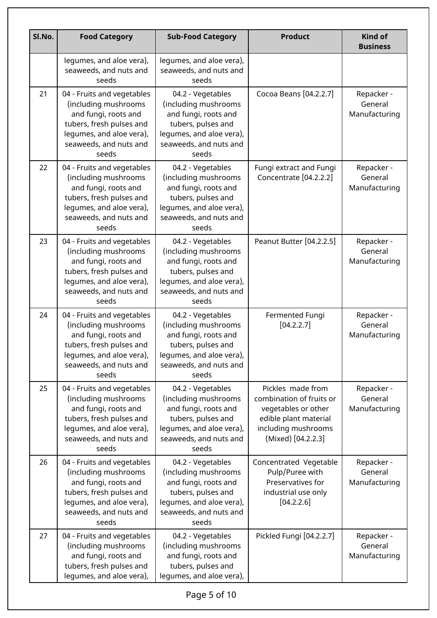| Sl.No. | <b>Food Category</b>                                                                                                                                                  | <b>Sub-Food Category</b>                                                                                                                               | <b>Product</b>                                                                                                                             | <b>Kind of</b><br><b>Business</b>      |
|--------|-----------------------------------------------------------------------------------------------------------------------------------------------------------------------|--------------------------------------------------------------------------------------------------------------------------------------------------------|--------------------------------------------------------------------------------------------------------------------------------------------|----------------------------------------|
|        | legumes, and aloe vera),<br>seaweeds, and nuts and<br>seeds                                                                                                           | legumes, and aloe vera),<br>seaweeds, and nuts and<br>seeds                                                                                            |                                                                                                                                            |                                        |
| 21     | 04 - Fruits and vegetables<br>(including mushrooms<br>and fungi, roots and<br>tubers, fresh pulses and<br>legumes, and aloe vera),<br>seaweeds, and nuts and<br>seeds | 04.2 - Vegetables<br>(including mushrooms<br>and fungi, roots and<br>tubers, pulses and<br>legumes, and aloe vera),<br>seaweeds, and nuts and<br>seeds | Cocoa Beans [04.2.2.7]                                                                                                                     | Repacker -<br>General<br>Manufacturing |
| 22     | 04 - Fruits and vegetables<br>(including mushrooms<br>and fungi, roots and<br>tubers, fresh pulses and<br>legumes, and aloe vera),<br>seaweeds, and nuts and<br>seeds | 04.2 - Vegetables<br>(including mushrooms<br>and fungi, roots and<br>tubers, pulses and<br>legumes, and aloe vera),<br>seaweeds, and nuts and<br>seeds | Fungi extract and Fungi<br>Concentrate [04.2.2.2]                                                                                          | Repacker -<br>General<br>Manufacturing |
| 23     | 04 - Fruits and vegetables<br>(including mushrooms<br>and fungi, roots and<br>tubers, fresh pulses and<br>legumes, and aloe vera),<br>seaweeds, and nuts and<br>seeds | 04.2 - Vegetables<br>(including mushrooms<br>and fungi, roots and<br>tubers, pulses and<br>legumes, and aloe vera),<br>seaweeds, and nuts and<br>seeds | Peanut Butter [04.2.2.5]                                                                                                                   | Repacker -<br>General<br>Manufacturing |
| 24     | 04 - Fruits and vegetables<br>(including mushrooms<br>and fungi, roots and<br>tubers, fresh pulses and<br>legumes, and aloe vera),<br>seaweeds, and nuts and<br>seeds | 04.2 - Vegetables<br>(including mushrooms<br>and fungi, roots and<br>tubers, pulses and<br>legumes, and aloe vera),<br>seaweeds, and nuts and<br>seeds | Fermented Fungi<br>[04.2.2.7]                                                                                                              | Repacker -<br>General<br>Manufacturing |
| 25     | 04 - Fruits and vegetables<br>(including mushrooms<br>and fungi, roots and<br>tubers, fresh pulses and<br>legumes, and aloe vera),<br>seaweeds, and nuts and<br>seeds | 04.2 - Vegetables<br>(including mushrooms<br>and fungi, roots and<br>tubers, pulses and<br>legumes, and aloe vera),<br>seaweeds, and nuts and<br>seeds | Pickles made from<br>combination of fruits or<br>vegetables or other<br>edible plant material<br>including mushrooms<br>(Mixed) [04.2.2.3] | Repacker -<br>General<br>Manufacturing |
| 26     | 04 - Fruits and vegetables<br>(including mushrooms<br>and fungi, roots and<br>tubers, fresh pulses and<br>legumes, and aloe vera),<br>seaweeds, and nuts and<br>seeds | 04.2 - Vegetables<br>(including mushrooms<br>and fungi, roots and<br>tubers, pulses and<br>legumes, and aloe vera),<br>seaweeds, and nuts and<br>seeds | Concentrated Vegetable<br>Pulp/Puree with<br>Preservatives for<br>industrial use only<br>[04.2.2.6]                                        | Repacker -<br>General<br>Manufacturing |
| 27     | 04 - Fruits and vegetables<br>(including mushrooms<br>and fungi, roots and<br>tubers, fresh pulses and<br>legumes, and aloe vera),                                    | 04.2 - Vegetables<br>(including mushrooms<br>and fungi, roots and<br>tubers, pulses and<br>legumes, and aloe vera),                                    | Pickled Fungi [04.2.2.7]                                                                                                                   | Repacker -<br>General<br>Manufacturing |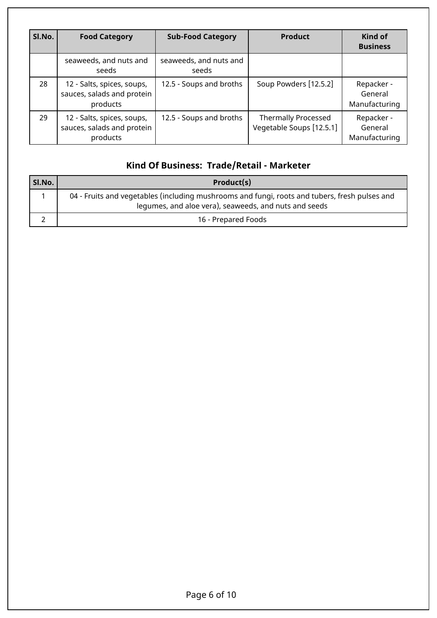| SI.No. | <b>Food Category</b>                                                 | <b>Sub-Food Category</b>        | <b>Product</b>                                         | Kind of<br><b>Business</b>             |
|--------|----------------------------------------------------------------------|---------------------------------|--------------------------------------------------------|----------------------------------------|
|        | seaweeds, and nuts and<br>seeds                                      | seaweeds, and nuts and<br>seeds |                                                        |                                        |
| 28     | 12 - Salts, spices, soups,<br>sauces, salads and protein<br>products | 12.5 - Soups and broths         | Soup Powders [12.5.2]                                  | Repacker -<br>General<br>Manufacturing |
| 29     | 12 - Salts, spices, soups,<br>sauces, salads and protein<br>products | 12.5 - Soups and broths         | <b>Thermally Processed</b><br>Vegetable Soups [12.5.1] | Repacker -<br>General<br>Manufacturing |

# **Kind Of Business: Trade/Retail - Marketer**

| SI.No. | Product(s)                                                                                                                                             |
|--------|--------------------------------------------------------------------------------------------------------------------------------------------------------|
|        | 04 - Fruits and vegetables (including mushrooms and fungi, roots and tubers, fresh pulses and<br>legumes, and aloe vera), seaweeds, and nuts and seeds |
|        | 16 - Prepared Foods                                                                                                                                    |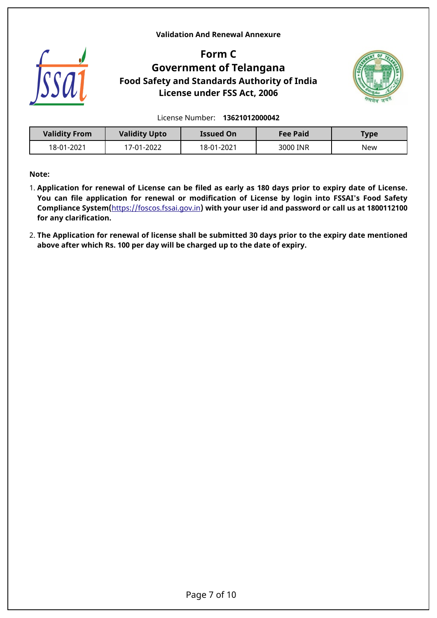#### <span id="page-6-0"></span>**Validation And Renewal Annexure**



## **Form C Government of Telangana Food Safety and Standards Authority of India License under FSS Act, 2006**



License Number: **13621012000042**

| <b>Validity From</b> | <b>Validity Upto</b> | <b>Issued On</b> | Fee Paid | <b>Type</b> |
|----------------------|----------------------|------------------|----------|-------------|
| 18-01-2021           | 17-01-2022           | 18-01-2021       | 3000 INR | New         |

**Note:**

- 1. **Application for renewal of License can be filed as early as 180 days prior to expiry date of License. You can file application for renewal or modification of License by login into FSSAI's Food Safety Compliance System(**<https://foscos.fssai.gov.in>**) with your user id and password or call us at 1800112100 for any clarification.**
- 2. **The Application for renewal of license shall be submitted 30 days prior to the expiry date mentioned above after which Rs. 100 per day will be charged up to the date of expiry.**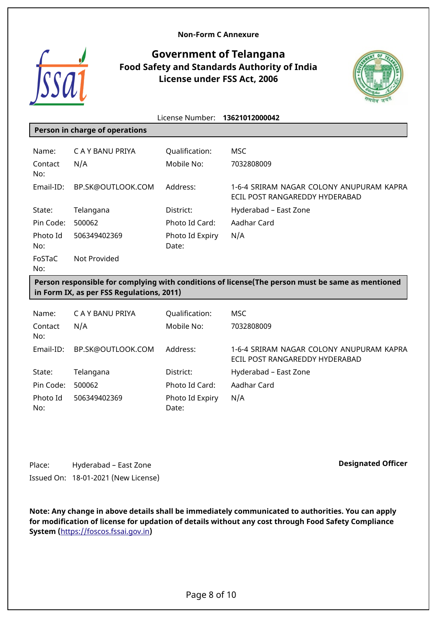

## <span id="page-7-0"></span>**Government of Telangana Food Safety and Standards Authority of India License under FSS Act, 2006**



|                                                                                                                                                |                   | License Number:          | 13621012000042                                                             |  |
|------------------------------------------------------------------------------------------------------------------------------------------------|-------------------|--------------------------|----------------------------------------------------------------------------|--|
| Person in charge of operations                                                                                                                 |                   |                          |                                                                            |  |
|                                                                                                                                                |                   |                          |                                                                            |  |
| Name:                                                                                                                                          | C A Y BANU PRIYA  | Qualification:           | <b>MSC</b>                                                                 |  |
| Contact<br>No:                                                                                                                                 | N/A               | Mobile No:               | 7032808009                                                                 |  |
| Email-ID:                                                                                                                                      | BP.SK@OUTLOOK.COM | Address:                 | 1-6-4 SRIRAM NAGAR COLONY ANUPURAM KAPRA<br>ECIL POST RANGAREDDY HYDERABAD |  |
| State:                                                                                                                                         | Telangana         | District:                | Hyderabad - East Zone                                                      |  |
| Pin Code:                                                                                                                                      | 500062            | Photo Id Card:           | Aadhar Card                                                                |  |
| Photo Id<br>No:                                                                                                                                | 506349402369      | Photo Id Expiry<br>Date: | N/A                                                                        |  |
| FoSTaC<br>No:                                                                                                                                  | Not Provided      |                          |                                                                            |  |
| Person responsible for complying with conditions of license (The person must be same as mentioned<br>in Form IX, as per FSS Regulations, 2011) |                   |                          |                                                                            |  |
| Name:                                                                                                                                          | C A Y BANU PRIYA  | Qualification:           | MSC                                                                        |  |

| Contact<br>No:  | N/A               | Mobile No:               | 7032808009                                                                 |
|-----------------|-------------------|--------------------------|----------------------------------------------------------------------------|
| $Email-ID:$     | BP.SK@OUTLOOK.COM | Address:                 | 1-6-4 SRIRAM NAGAR COLONY ANUPURAM KAPRA<br>ECIL POST RANGAREDDY HYDERABAD |
| State:          | Telangana         | District:                | Hyderabad - East Zone                                                      |
| Pin Code:       | 500062            | Photo Id Card:           | Aadhar Card                                                                |
| Photo Id<br>No: | 506349402369      | Photo Id Expiry<br>Date: | N/A                                                                        |

Place: Hyderabad – East Zone Issued On: 18-01-2021 (New License) **Designated Officer**

**Note: Any change in above details shall be immediately communicated to authorities. You can apply for modification of license for updation of details without any cost through Food Safety Compliance System (**<https://foscos.fssai.gov.in>**)**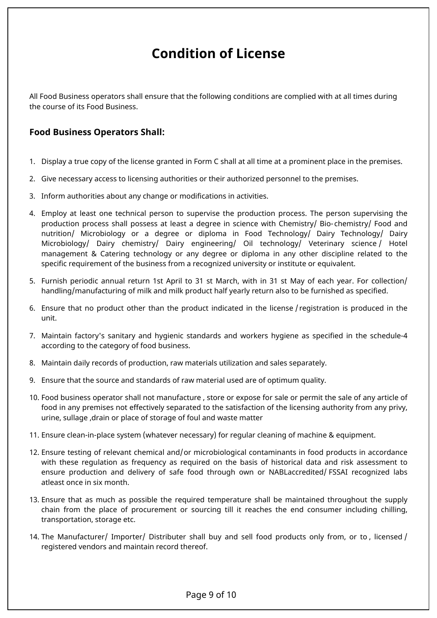# <span id="page-8-0"></span>**Condition of License**

All Food Business operators shall ensure that the following conditions are complied with at all times during the course of its Food Business.

### **Food Business Operators Shall:**

- 1. Display a true copy of the license granted in Form C shall at all time at a prominent place in the premises.
- 2. Give necessary access to licensing authorities or their authorized personnel to the premises.
- 3. Inform authorities about any change or modifications in activities.
- 4. Employ at least one technical person to supervise the production process. The person supervising the production process shall possess at least a degree in science with Chemistry/ Bio- chemistry/ Food and nutrition/ Microbiology or a degree or diploma in Food Technology/ Dairy Technology/ Dairy Microbiology/ Dairy chemistry/ Dairy engineering/ Oil technology/ Veterinary science / Hotel management & Catering technology or any degree or diploma in any other discipline related to the specific requirement of the business from a recognized university or institute or equivalent.
- 5. Furnish periodic annual return 1st April to 31 st March, with in 31 st May of each year. For collection/ handling/manufacturing of milk and milk product half yearly return also to be furnished as specified.
- 6. Ensure that no product other than the product indicated in the license / registration is produced in the unit.
- 7. Maintain factory's sanitary and hygienic standards and workers hygiene as specified in the schedule-4 according to the category of food business.
- 8. Maintain daily records of production, raw materials utilization and sales separately.
- 9. Ensure that the source and standards of raw material used are of optimum quality.
- 10. Food business operator shall not manufacture , store or expose for sale or permit the sale of any article of food in any premises not effectively separated to the satisfaction of the licensing authority from any privy, urine, sullage ,drain or place of storage of foul and waste matter
- 11. Ensure clean-in-place system (whatever necessary) for regular cleaning of machine & equipment.
- 12. Ensure testing of relevant chemical and/or microbiological contaminants in food products in accordance with these regulation as frequency as required on the basis of historical data and risk assessment to ensure production and delivery of safe food through own or NABLaccredited/ FSSAI recognized labs atleast once in six month.
- 13. Ensure that as much as possible the required temperature shall be maintained throughout the supply chain from the place of procurement or sourcing till it reaches the end consumer including chilling, transportation, storage etc.
- 14. The Manufacturer/ Importer/ Distributer shall buy and sell food products only from, or to , licensed / registered vendors and maintain record thereof.